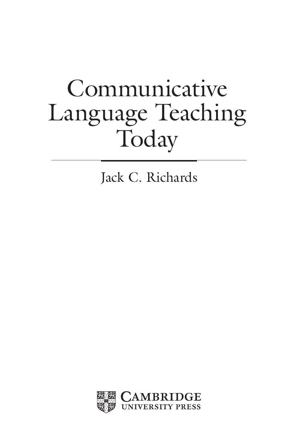# Communicative Language Teaching Today

Jack C. Richards

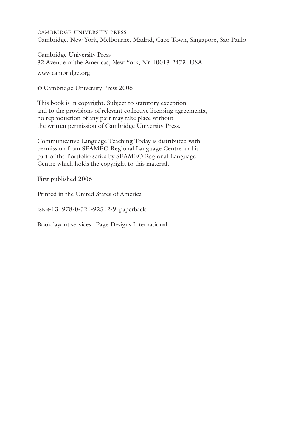cambridge university press Cambridge, New York, Melbourne, Madrid, Cape Town, Singapore, São Paulo

Cambridge University Press 32 Avenue of the Americas, New York, ny 10013-2473, USA

www.cambridge.org

© Cambridge University Press 2006

This book is in copyright. Subject to statutory exception and to the provisions of relevant collective licensing agreements, no reproduction of any part may take place without the written permission of Cambridge University Press.

Communicative Language Teaching Today is distributed with permission from SEAMEO Regional Language Centre and is part of the Portfolio series by SEAMEO Regional Language Centre which holds the copyright to this material.

First published 2006

Printed in the United States of America

isbn-13 978-0-521-92512-9 paperback

Book layout services: Page Designs International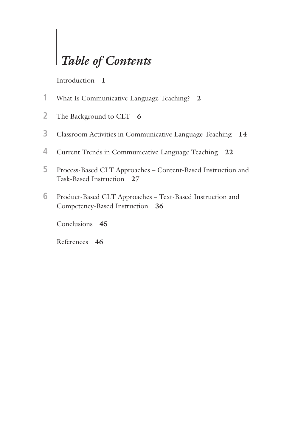# *Table of Contents*

#### Introduction **1**

- **1** What Is Communicative Language Teaching? **2**
- **2** The Background to CLT **6**
- **3** Classroom Activities in Communicative Language Teaching **14**
- **4** Current Trends in Communicative Language Teaching **22**
- **5** Process-Based CLT Approaches Content-Based Instruction and Task-Based Instruction **27**
- **6** Product-Based CLT Approaches Text-Based Instruction and Competency-Based Instruction **36**

Conclusions **45**

References **46**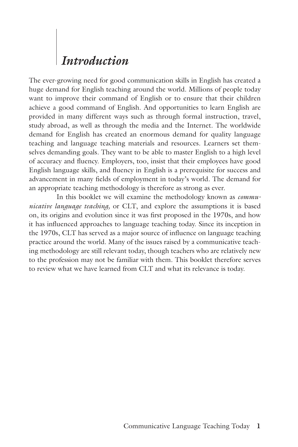# *Introduction*

The ever-growing need for good communication skills in English has created a huge demand for English teaching around the world. Millions of people today want to improve their command of English or to ensure that their children achieve a good command of English. And opportunities to learn English are provided in many different ways such as through formal instruction, travel, study abroad, as well as through the media and the Internet. The worldwide demand for English has created an enormous demand for quality language teaching and language teaching materials and resources. Learners set themselves demanding goals. They want to be able to master English to a high level of accuracy and fluency. Employers, too, insist that their employees have good English language skills, and fluency in English is a prerequisite for success and advancement in many fields of employment in today's world. The demand for an appropriate teaching methodology is therefore as strong as ever.

In this booklet we will examine the methodology known as *communicative language teaching,* or CLT, and explore the assumptions it is based on, its origins and evolution since it was first proposed in the 1970s, and how it has influenced approaches to language teaching today. Since its inception in the 1970s, CLT has served as a major source of influence on language teaching practice around the world. Many of the issues raised by a communicative teaching methodology are still relevant today, though teachers who are relatively new to the profession may not be familiar with them. This booklet therefore serves to review what we have learned from CLT and what its relevance is today.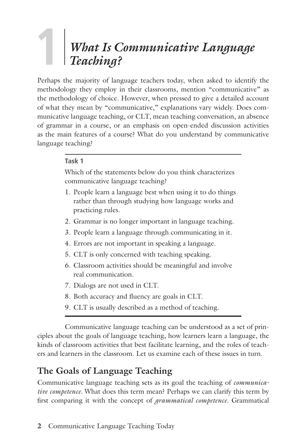# **1** *What Is Communicative Language Teaching?*

Perhaps the majority of language teachers today, when asked to identify the methodology they employ in their classrooms, mention "communicative" as the methodology of choice. However, when pressed to give a detailed account of what they mean by "communicative," explanations vary widely. Does communicative language teaching, or CLT, mean teaching conversation, an absence of grammar in a course, or an emphasis on open-ended discussion activities as the main features of a course? What do you understand by communicative language teaching?

#### Task 1

Which of the statements below do you think characterizes communicative language teaching?

- 1. People learn a language best when using it to do things rather than through studying how language works and practicing rules.
- 2. Grammar is no longer important in language teaching.
- 3. People learn a language through communicating in it.
- 4. Errors are not important in speaking a language.
- 5. CLT is only concerned with teaching speaking.
- 6. Classroom activities should be meaningful and involve real communication.
- 7. Dialogs are not used in CLT.
- 8. Both accuracy and fluency are goals in CLT.
- 9. CLT is usually described as a method of teaching.

Communicative language teaching can be understood as a set of principles about the goals of language teaching, how learners learn a language, the kinds of classroom activities that best facilitate learning, and the roles of teachers and learners in the classroom. Let us examine each of these issues in turn.

# **The Goals of Language Teaching**

Communicative language teaching sets as its goal the teaching of *communicative competence.* What does this term mean? Perhaps we can clarify this term by first comparing it with the concept of *grammatical competence.* Grammatical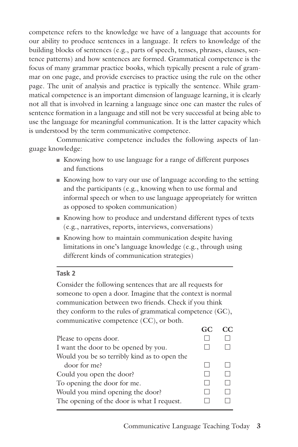competence refers to the knowledge we have of a language that accounts for our ability to produce sentences in a language. It refers to knowledge of the building blocks of sentences (e.g., parts of speech, tenses, phrases, clauses, sentence patterns) and how sentences are formed. Grammatical competence is the focus of many grammar practice books, which typically present a rule of grammar on one page, and provide exercises to practice using the rule on the other page. The unit of analysis and practice is typically the sentence. While grammatical competence is an important dimension of language learning, it is clearly not all that is involved in learning a language since one can master the rules of sentence formation in a language and still not be very successful at being able to use the language for meaningful communication. It is the latter capacity which is understood by the term communicative competence.

Communicative competence includes the following aspects of language knowledge:

- Knowing how to use language for a range of different purposes and functions
- $\blacksquare$  Knowing how to vary our use of language according to the setting and the participants (e.g., knowing when to use formal and informal speech or when to use language appropriately for written as opposed to spoken communication)
- Knowing how to produce and understand different types of texts (e.g., narratives, reports, interviews, conversations)
- $\blacksquare$  Knowing how to maintain communication despite having limitations in one's language knowledge (e.g., through using different kinds of communication strategies)

#### Task 2

Consider the following sentences that are all requests for someone to open a door. Imagine that the context is normal communication between two friends. Check if you think they conform to the rules of grammatical competence (GC), communicative competence (CC), or both.

|                                              | GC | cc |
|----------------------------------------------|----|----|
| Please to opens door.                        |    |    |
| I want the door to be opened by you.         |    |    |
| Would you be so terribly kind as to open the |    |    |
| door for me?                                 |    |    |
| Could you open the door?                     |    |    |
| To opening the door for me.                  |    |    |
| Would you mind opening the door?             |    |    |
| The opening of the door is what I request.   |    |    |
|                                              |    |    |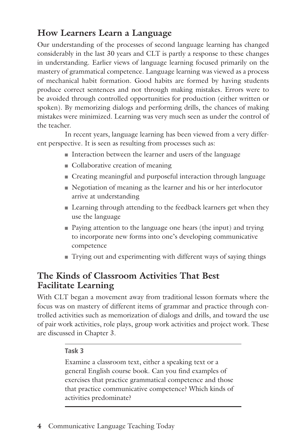# **How Learners Learn a Language**

Our understanding of the processes of second language learning has changed considerably in the last 30 years and CLT is partly a response to these changes in understanding. Earlier views of language learning focused primarily on the mastery of grammatical competence. Language learning was viewed as a process of mechanical habit formation. Good habits are formed by having students produce correct sentences and not through making mistakes. Errors were to be avoided through controlled opportunities for production (either written or spoken). By memorizing dialogs and performing drills, the chances of making mistakes were minimized. Learning was very much seen as under the control of the teacher.

In recent years, language learning has been viewed from a very different perspective. It is seen as resulting from processes such as:

- Interaction between the learner and users of the language
- $\blacksquare$  Collaborative creation of meaning
- $\blacksquare$  Creating meaningful and purposeful interaction through language
- Negotiation of meaning as the learner and his or her interlocutor arrive at understanding
- Examing through attending to the feedback learners get when they use the language
- $\blacksquare$  Paying attention to the language one hears (the input) and trying to incorporate new forms into one's developing communicative competence
- $\blacksquare$  Trying out and experimenting with different ways of saying things

## **The Kinds of Classroom Activities That Best Facilitate Learning**

With CLT began a movement away from traditional lesson formats where the focus was on mastery of different items of grammar and practice through controlled activities such as memorization of dialogs and drills, and toward the use of pair work activities, role plays, group work activities and project work. These are discussed in Chapter 3.

#### Task 3

Examine a classroom text, either a speaking text or a general English course book. Can you find examples of exercises that practice grammatical competence and those that practice communicative competence? Which kinds of activities predominate?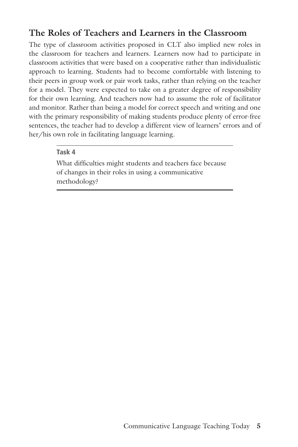## **The Roles of Teachers and Learners in the Classroom**

The type of classroom activities proposed in CLT also implied new roles in the classroom for teachers and learners. Learners now had to participate in classroom activities that were based on a cooperative rather than individualistic approach to learning. Students had to become comfortable with listening to their peers in group work or pair work tasks, rather than relying on the teacher for a model. They were expected to take on a greater degree of responsibility for their own learning. And teachers now had to assume the role of facilitator and monitor. Rather than being a model for correct speech and writing and one with the primary responsibility of making students produce plenty of error-free sentences, the teacher had to develop a different view of learners' errors and of her/his own role in facilitating language learning.

#### Task 4

What difficulties might students and teachers face because of changes in their roles in using a communicative methodology?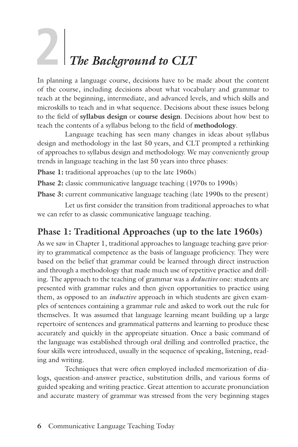# **2** *The Background to CLT*

In planning a language course, decisions have to be made about the content of the course, including decisions about what vocabulary and grammar to teach at the beginning, intermediate, and advanced levels, and which skills and microskills to teach and in what sequence. Decisions about these issues belong to the field of **syllabus design** or **course design**. Decisions about how best to teach the contents of a syllabus belong to the field of **methodology**.

Language teaching has seen many changes in ideas about syllabus design and methodology in the last 50 years, and CLT prompted a rethinking of approaches to syllabus design and methodology. We may conveniently group trends in language teaching in the last 50 years into three phases:

**Phase 1:** traditional approaches (up to the late 1960s)

**Phase 2:** classic communicative language teaching (1970s to 1990s)

**Phase 3:** current communicative language teaching (late 1990s to the present)

Let us first consider the transition from traditional approaches to what we can refer to as classic communicative language teaching.

# **Phase 1: Traditional Approaches (up to the late 1960s)**

As we saw in Chapter 1, traditional approaches to language teaching gave priority to grammatical competence as the basis of language proficiency. They were based on the belief that grammar could be learned through direct instruction and through a methodology that made much use of repetitive practice and drilling. The approach to the teaching of grammar was a *deductive* one: students are presented with grammar rules and then given opportunities to practice using them, as opposed to an *inductive* approach in which students are given examples of sentences containing a grammar rule and asked to work out the rule for themselves. It was assumed that language learning meant building up a large repertoire of sentences and grammatical patterns and learning to produce these accurately and quickly in the appropriate situation. Once a basic command of the language was established through oral drilling and controlled practice, the four skills were introduced, usually in the sequence of speaking, listening, reading and writing.

Techniques that were often employed included memorization of dialogs, question-and-answer practice, substitution drills, and various forms of guided speaking and writing practice. Great attention to accurate pronunciation and accurate mastery of grammar was stressed from the very beginning stages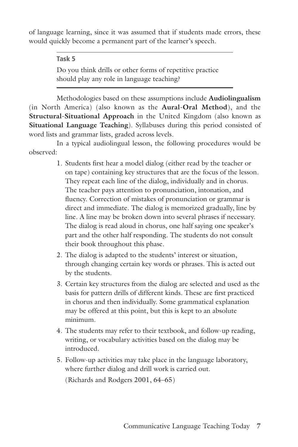of language learning, since it was assumed that if students made errors, these would quickly become a permanent part of the learner's speech.

#### Task 5

Do you think drills or other forms of repetitive practice should play any role in language teaching?

Methodologies based on these assumptions include **Audiolingualism** (in North America) (also known as the **Aural-Oral Method**), and the **Structural-Situational Approach** in the United Kingdom (also known as **Situational Language Teaching**). Syllabuses during this period consisted of word lists and grammar lists, graded across levels.

In a typical audiolingual lesson, the following procedures would be observed:

- 1. Students first hear a model dialog (either read by the teacher or on tape) containing key structures that are the focus of the lesson. They repeat each line of the dialog, individually and in chorus. The teacher pays attention to pronunciation, intonation, and fluency. Correction of mistakes of pronunciation or grammar is direct and immediate. The dialog is memorized gradually, line by line. A line may be broken down into several phrases if necessary. The dialog is read aloud in chorus, one half saying one speaker's part and the other half responding. The students do not consult their book throughout this phase.
- 2. The dialog is adapted to the students' interest or situation, through changing certain key words or phrases. This is acted out by the students.
- 3. Certain key structures from the dialog are selected and used as the basis for pattern drills of different kinds. These are first practiced in chorus and then individually. Some grammatical explanation may be offered at this point, but this is kept to an absolute minimum.
- 4. The students may refer to their textbook, and follow-up reading, writing, or vocabulary activities based on the dialog may be introduced.
- 5. Follow-up activities may take place in the language laboratory, where further dialog and drill work is carried out.

(Richards and Rodgers 2001, 64–65)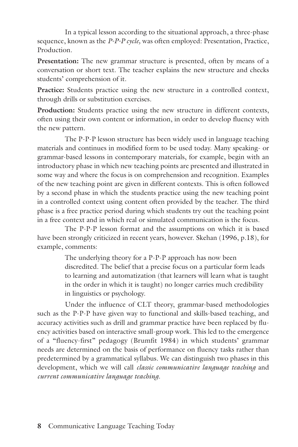In a typical lesson according to the situational approach, a three-phase sequence, known as the *P-P-P cycle,* was often employed: Presentation, Practice, Production.

**Presentation:** The new grammar structure is presented, often by means of a conversation or short text. The teacher explains the new structure and checks students' comprehension of it.

Practice: Students practice using the new structure in a controlled context, through drills or substitution exercises.

**Production:** Students practice using the new structure in different contexts, often using their own content or information, in order to develop fluency with the new pattern.

The P-P-P lesson structure has been widely used in language teaching materials and continues in modified form to be used today. Many speaking- or grammar-based lessons in contemporary materials, for example, begin with an introductory phase in which new teaching points are presented and illustrated in some way and where the focus is on comprehension and recognition. Examples of the new teaching point are given in different contexts. This is often followed by a second phase in which the students practice using the new teaching point in a controlled context using content often provided by the teacher. The third phase is a free practice period during which students try out the teaching point in a free context and in which real or simulated communication is the focus.

The P-P-P lesson format and the assumptions on which it is based have been strongly criticized in recent years, however. Skehan (1996, p.18), for example, comments:

> The underlying theory for a P-P-P approach has now been discredited. The belief that a precise focus on a particular form leads to learning and automatization (that learners will learn what is taught in the order in which it is taught) no longer carries much credibility in linguistics or psychology.

Under the influence of CLT theory, grammar-based methodologies such as the P-P-P have given way to functional and skills-based teaching, and accuracy activities such as drill and grammar practice have been replaced by fluency activities based on interactive small-group work. This led to the emergence of a "fluency-first" pedagogy (Brumfit 1984) in which students' grammar needs are determined on the basis of performance on fluency tasks rather than predetermined by a grammatical syllabus. We can distinguish two phases in this development, which we will call *classic communicative language teaching* and *current communicative language teaching.*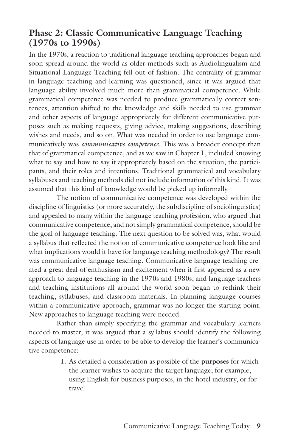### **Phase 2: Classic Communicative Language Teaching (1970s to 1990s)**

In the 1970s, a reaction to traditional language teaching approaches began and soon spread around the world as older methods such as Audiolingualism and Situational Language Teaching fell out of fashion. The centrality of grammar in language teaching and learning was questioned, since it was argued that language ability involved much more than grammatical competence. While grammatical competence was needed to produce grammatically correct sentences, attention shifted to the knowledge and skills needed to use grammar and other aspects of language appropriately for different communicative purposes such as making requests, giving advice, making suggestions, describing wishes and needs, and so on. What was needed in order to use language communicatively was *communicative competence.* This was a broader concept than that of grammatical competence, and as we saw in Chapter 1, included knowing what to say and how to say it appropriately based on the situation, the participants, and their roles and intentions. Traditional grammatical and vocabulary syllabuses and teaching methods did not include information of this kind. It was assumed that this kind of knowledge would be picked up informally.

The notion of communicative competence was developed within the discipline of linguistics (or more accurately, the subdiscipline of sociolinguistics) and appealed to many within the language teaching profession, who argued that communicative competence, and not simply grammatical competence, should be the goal of language teaching. The next question to be solved was, what would a syllabus that reflected the notion of communicative competence look like and what implications would it have for language teaching methodology? The result was communicative language teaching. Communicative language teaching created a great deal of enthusiasm and excitement when it first appeared as a new approach to language teaching in the 1970s and 1980s, and language teachers and teaching institutions all around the world soon began to rethink their teaching, syllabuses, and classroom materials. In planning language courses within a communicative approach, grammar was no longer the starting point. New approaches to language teaching were needed.

Rather than simply specifying the grammar and vocabulary learners needed to master, it was argued that a syllabus should identify the following aspects of language use in order to be able to develop the learner's communicative competence:

> 1. As detailed a consideration as possible of the **purposes** for which the learner wishes to acquire the target language; for example, using English for business purposes, in the hotel industry, or for travel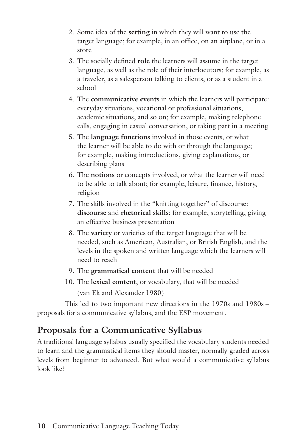- 2. Some idea of the **setting** in which they will want to use the target language; for example, in an office, on an airplane, or in a store
- 3. The socially defined **role** the learners will assume in the target language, as well as the role of their interlocutors; for example, as a traveler, as a salesperson talking to clients, or as a student in a school
- 4. The **communicative events** in which the learners will participate: everyday situations, vocational or professional situations, academic situations, and so on; for example, making telephone calls, engaging in casual conversation, or taking part in a meeting
- 5. The **language functions** involved in those events, or what the learner will be able to do with or through the language; for example, making introductions, giving explanations, or describing plans
- 6. The **notions** or concepts involved, or what the learner will need to be able to talk about; for example, leisure, finance, history, religion
- 7. The skills involved in the "knitting together" of discourse: **discourse** and **rhetorical skills**; for example, storytelling, giving an effective business presentation
- 8. The **variety** or varieties of the target language that will be needed, such as American, Australian, or British English, and the levels in the spoken and written language which the learners will need to reach
- 9. The **grammatical content** that will be needed
- 10. The **lexical content**, or vocabulary, that will be needed

(van Ek and Alexander 1980)

This led to two important new directions in the 1970s and 1980s – proposals for a communicative syllabus, and the ESP movement.

# **Proposals for a Communicative Syllabus**

A traditional language syllabus usually specified the vocabulary students needed to learn and the grammatical items they should master, normally graded across levels from beginner to advanced. But what would a communicative syllabus look like?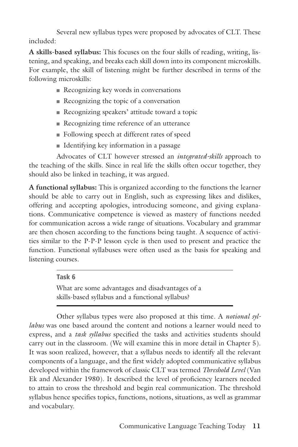Several new syllabus types were proposed by advocates of CLT. These included:

**A skills-based syllabus:** This focuses on the four skills of reading, writing, listening, and speaking, and breaks each skill down into its component microskills. For example, the skill of listening might be further described in terms of the following microskills:

- Recognizing key words in conversations
- Recognizing the topic of a conversation
- Recognizing speakers' attitude toward a topic
- $\blacksquare$  Recognizing time reference of an utterance
- Following speech at different rates of speed
- I Identifying key information in a passage

Advocates of CLT however stressed an *integrated-skills* approach to the teaching of the skills. Since in real life the skills often occur together, they should also be linked in teaching, it was argued.

**A functional syllabus:** This is organized according to the functions the learner should be able to carry out in English, such as expressing likes and dislikes, offering and accepting apologies, introducing someone, and giving explanations. Communicative competence is viewed as mastery of functions needed for communication across a wide range of situations. Vocabulary and grammar are then chosen according to the functions being taught. A sequence of activities similar to the P-P-P lesson cycle is then used to present and practice the function. Functional syllabuses were often used as the basis for speaking and listening courses.

| Task 6                                           |
|--------------------------------------------------|
| What are some advantages and disadvantages of a  |
| skills-based syllabus and a functional syllabus? |

Other syllabus types were also proposed at this time. A *notional syllabus* was one based around the content and notions a learner would need to express, and a *task syllabus* specified the tasks and activities students should carry out in the classroom. (We will examine this in more detail in Chapter 5). It was soon realized, however, that a syllabus needs to identify all the relevant components of a language, and the first widely adopted communicative syllabus developed within the framework of classic CLT was termed *Threshold Level* (Van Ek and Alexander 1980). It described the level of proficiency learners needed to attain to cross the threshold and begin real communication. The threshold syllabus hence specifies topics, functions, notions, situations, as well as grammar and vocabulary.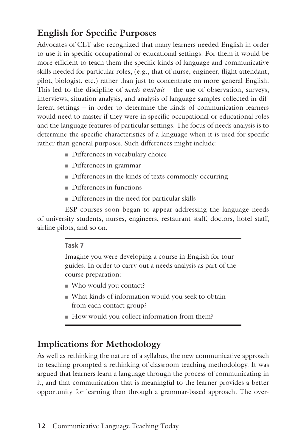# **English for Specific Purposes**

Advocates of CLT also recognized that many learners needed English in order to use it in specific occupational or educational settings. For them it would be more efficient to teach them the specific kinds of language and communicative skills needed for particular roles, (e.g., that of nurse, engineer, flight attendant, pilot, biologist, etc.) rather than just to concentrate on more general English. This led to the discipline of *needs analysis* – the use of observation, surveys, interviews, situation analysis, and analysis of language samples collected in different settings – in order to determine the kinds of communication learners would need to master if they were in specific occupational or educational roles and the language features of particular settings. The focus of needs analysis is to determine the specific characteristics of a language when it is used for specific rather than general purposes. Such differences might include:

- $\blacksquare$  Differences in vocabulary choice
- $\blacksquare$  Differences in grammar
- $\blacksquare$  Differences in the kinds of texts commonly occurring
- $\blacksquare$  Differences in functions
- $\blacksquare$  Differences in the need for particular skills

ESP courses soon began to appear addressing the language needs of university students, nurses, engineers, restaurant staff, doctors, hotel staff, airline pilots, and so on.

#### Task 7

Imagine you were developing a course in English for tour guides. In order to carry out a needs analysis as part of the course preparation:

- $\blacksquare$  Who would you contact?
- $\blacksquare$  What kinds of information would you seek to obtain from each contact group?
- $\blacksquare$  How would you collect information from them?

# **Implications for Methodology**

As well as rethinking the nature of a syllabus, the new communicative approach to teaching prompted a rethinking of classroom teaching methodology. It was argued that learners learn a language through the process of communicating in it, and that communication that is meaningful to the learner provides a better opportunity for learning than through a grammar-based approach. The over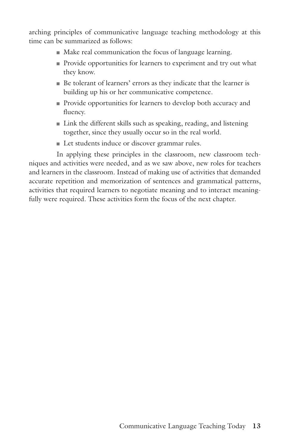arching principles of communicative language teaching methodology at this time can be summarized as follows:

- $\blacksquare$  Make real communication the focus of language learning.
- $\blacksquare$  Provide opportunities for learners to experiment and try out what they know.
- Be tolerant of learners' errors as they indicate that the learner is building up his or her communicative competence.
- $\blacksquare$  Provide opportunities for learners to develop both accuracy and fluency.
- $\blacksquare$  Link the different skills such as speaking, reading, and listening together, since they usually occur so in the real world.
- Let students induce or discover grammar rules.

In applying these principles in the classroom, new classroom techniques and activities were needed, and as we saw above, new roles for teachers and learners in the classroom. Instead of making use of activities that demanded accurate repetition and memorization of sentences and grammatical patterns, activities that required learners to negotiate meaning and to interact meaningfully were required. These activities form the focus of the next chapter.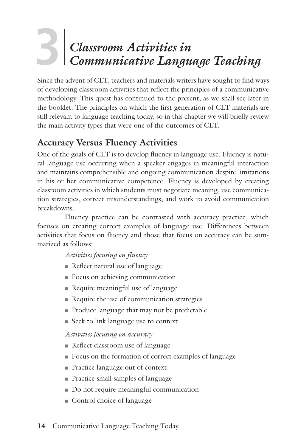# **3** *Classroom Activities in Communicative Language Teaching*

Since the advent of CLT, teachers and materials writers have sought to find ways of developing classroom activities that reflect the principles of a communicative methodology. This quest has continued to the present, as we shall see later in the booklet. The principles on which the first generation of CLT materials are still relevant to language teaching today, so in this chapter we will briefly review the main activity types that were one of the outcomes of CLT.

# **Accuracy Versus Fluency Activities**

One of the goals of CLT is to develop fluency in language use. Fluency is natural language use occurring when a speaker engages in meaningful interaction and maintains comprehensible and ongoing communication despite limitations in his or her communicative competence. Fluency is developed by creating classroom activities in which students must negotiate meaning, use communication strategies, correct misunderstandings, and work to avoid communication breakdowns.

Fluency practice can be contrasted with accuracy practice, which focuses on creating correct examples of language use. Differences between activities that focus on fluency and those that focus on accuracy can be summarized as follows:

*Activities focusing on fluency*

- $\blacksquare$  Reflect natural use of language
- $\blacksquare$  Focus on achieving communication
- Require meaningful use of language
- Require the use of communication strategies
- Produce language that may not be predictable
- Seek to link language use to context

#### *Activities focusing on accuracy*

- Reflect classroom use of language
- $\blacksquare$  Focus on the formation of correct examples of language
- **Practice language out of context**
- Practice small samples of language
- $\Box$  Do not require meaningful communication
- Gontrol choice of language

#### **14** Communicative Language Teaching Today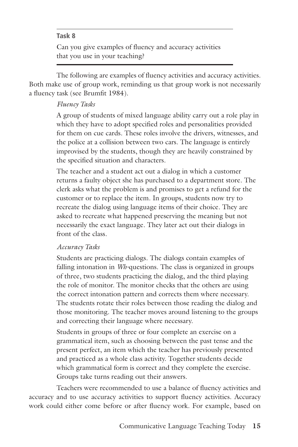#### Task 8

Can you give examples of fluency and accuracy activities that you use in your teaching?

The following are examples of fluency activities and accuracy activities. Both make use of group work, reminding us that group work is not necessarily a fluency task (see Brumfit 1984).

#### *Fluency Tasks*

A group of students of mixed language ability carry out a role play in which they have to adopt specified roles and personalities provided for them on cue cards. These roles involve the drivers, witnesses, and the police at a collision between two cars. The language is entirely improvised by the students, though they are heavily constrained by the specified situation and characters.

The teacher and a student act out a dialog in which a customer returns a faulty object she has purchased to a department store. The clerk asks what the problem is and promises to get a refund for the customer or to replace the item. In groups, students now try to recreate the dialog using language items of their choice. They are asked to recreate what happened preserving the meaning but not necessarily the exact language. They later act out their dialogs in front of the class.

#### *Accuracy Tasks*

Students are practicing dialogs. The dialogs contain examples of falling intonation in *Wh-*questions. The class is organized in groups of three, two students practicing the dialog, and the third playing the role of monitor. The monitor checks that the others are using the correct intonation pattern and corrects them where necessary. The students rotate their roles between those reading the dialog and those monitoring. The teacher moves around listening to the groups and correcting their language where necessary.

Students in groups of three or four complete an exercise on a grammatical item, such as choosing between the past tense and the present perfect, an item which the teacher has previously presented and practiced as a whole class activity. Together students decide which grammatical form is correct and they complete the exercise. Groups take turns reading out their answers.

Teachers were recommended to use a balance of fluency activities and accuracy and to use accuracy activities to support fluency activities. Accuracy work could either come before or after fluency work. For example, based on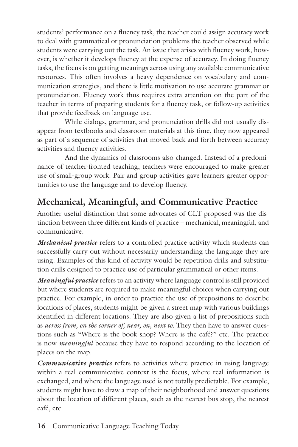students' performance on a fluency task, the teacher could assign accuracy work to deal with grammatical or pronunciation problems the teacher observed while students were carrying out the task. An issue that arises with fluency work, however, is whether it develops fluency at the expense of accuracy. In doing fluency tasks, the focus is on getting meanings across using any available communicative resources. This often involves a heavy dependence on vocabulary and communication strategies, and there is little motivation to use accurate grammar or pronunciation. Fluency work thus requires extra attention on the part of the teacher in terms of preparing students for a fluency task, or follow-up activities that provide feedback on language use.

While dialogs, grammar, and pronunciation drills did not usually disappear from textbooks and classroom materials at this time, they now appeared as part of a sequence of activities that moved back and forth between accuracy activities and fluency activities.

And the dynamics of classrooms also changed. Instead of a predominance of teacher-fronted teaching, teachers were encouraged to make greater use of small-group work. Pair and group activities gave learners greater opportunities to use the language and to develop fluency.

# **Mechanical, Meaningful, and Communicative Practice**

Another useful distinction that some advocates of CLT proposed was the distinction between three different kinds of practice – mechanical, meaningful, and communicative.

*Mechanical practice* refers to a controlled practice activity which students can successfully carry out without necessarily understanding the language they are using. Examples of this kind of activity would be repetition drills and substitution drills designed to practice use of particular grammatical or other items.

*Meaningful practice* refers to an activity where language control is still provided but where students are required to make meaningful choices when carrying out practice. For example, in order to practice the use of prepositions to describe locations of places, students might be given a street map with various buildings identified in different locations. They are also given a list of prepositions such as *across from, on the corner of, near, on, next to.* They then have to answer questions such as "Where is the book shop? Where is the café?" etc. The practice is now *meaningful* because they have to respond according to the location of places on the map.

*Communicative practice* refers to activities where practice in using language within a real communicative context is the focus, where real information is exchanged, and where the language used is not totally predictable. For example, students might have to draw a map of their neighborhood and answer questions about the location of different places, such as the nearest bus stop, the nearest café, etc.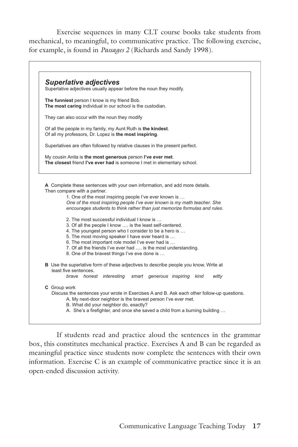Exercise sequences in many CLT course books take students from mechanical, to meaningful, to communicative practice. The following exercise, for example, is found in *Passages 2* (Richards and Sandy 1998).

| They can also occur with the noun they modify<br>Of all the people in my family, my Aunt Ruth is the kindest.<br>Of all my professors, Dr. Lopez is the most inspiring. |                                                                             |                                                                                                                                                                                                                                                                                                                                                                                                                                                                                                                                                                                                                                                                                                                                                                                                                                                          |  |
|-------------------------------------------------------------------------------------------------------------------------------------------------------------------------|-----------------------------------------------------------------------------|----------------------------------------------------------------------------------------------------------------------------------------------------------------------------------------------------------------------------------------------------------------------------------------------------------------------------------------------------------------------------------------------------------------------------------------------------------------------------------------------------------------------------------------------------------------------------------------------------------------------------------------------------------------------------------------------------------------------------------------------------------------------------------------------------------------------------------------------------------|--|
|                                                                                                                                                                         |                                                                             |                                                                                                                                                                                                                                                                                                                                                                                                                                                                                                                                                                                                                                                                                                                                                                                                                                                          |  |
|                                                                                                                                                                         |                                                                             |                                                                                                                                                                                                                                                                                                                                                                                                                                                                                                                                                                                                                                                                                                                                                                                                                                                          |  |
|                                                                                                                                                                         | Superlatives are often followed by relative clauses in the present perfect. |                                                                                                                                                                                                                                                                                                                                                                                                                                                                                                                                                                                                                                                                                                                                                                                                                                                          |  |
| My cousin Anita is the most generous person I've ever met.<br>The closest friend I've ever had is someone I met in elementary school.                                   |                                                                             |                                                                                                                                                                                                                                                                                                                                                                                                                                                                                                                                                                                                                                                                                                                                                                                                                                                          |  |
|                                                                                                                                                                         |                                                                             |                                                                                                                                                                                                                                                                                                                                                                                                                                                                                                                                                                                                                                                                                                                                                                                                                                                          |  |
|                                                                                                                                                                         |                                                                             |                                                                                                                                                                                                                                                                                                                                                                                                                                                                                                                                                                                                                                                                                                                                                                                                                                                          |  |
|                                                                                                                                                                         |                                                                             |                                                                                                                                                                                                                                                                                                                                                                                                                                                                                                                                                                                                                                                                                                                                                                                                                                                          |  |
|                                                                                                                                                                         |                                                                             | witty                                                                                                                                                                                                                                                                                                                                                                                                                                                                                                                                                                                                                                                                                                                                                                                                                                                    |  |
|                                                                                                                                                                         | Then compare with a partner.<br>least five sentences.                       | A Complete these sentences with your own information, and add more details.<br>1. One of the most inspiring people I've ever known is<br>One of the most inspiring people I've ever known is my math teacher. She<br>encourages students to think rather than just memorize formulas and rules.<br>2. The most successful individual I know is<br>3. Of all the people I know  is the least self-centered.<br>4. The youngest person who I consider to be a hero is<br>5. The most moving speaker I have ever heard is<br>6. The most important role model I've ever had is<br>7. Of all the friends I've ever had  is the most understanding.<br>8. One of the bravest things I've eve done is<br><b>B</b> Use the superlative form of these adjectives to describe people you know. Write at<br>brave honest interesting smart generous inspiring kind |  |

If students read and practice aloud the sentences in the grammar box, this constitutes mechanical practice. Exercises A and B can be regarded as meaningful practice since students now complete the sentences with their own information. Exercise C is an example of communicative practice since it is an open-ended discussion activity.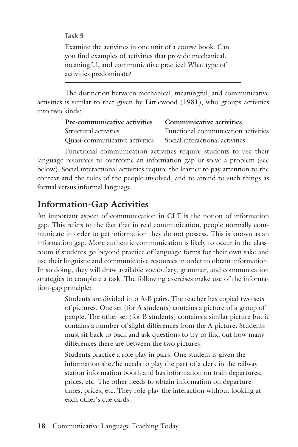```
Task 9
```
Examine the activities in one unit of a course book. Can you find examples of activities that provide mechanical, meaningful, and communicative practice? What type of activities predominate?

The distinction between mechanical, meaningful, and communicative activities is similar to that given by Littlewood (1981), who groups activities into two kinds:

| Pre-communicative activities   | Communicative activities            |
|--------------------------------|-------------------------------------|
| Structural activities          | Functional communication activities |
| Quasi-communicative activities | Social interactional activities     |

Functional communication activities require students to use their language resources to overcome an information gap or solve a problem (see below). Social interactional activities require the learner to pay attention to the context and the roles of the people involved, and to attend to such things as formal versus informal language.

# **Information-Gap Activities**

An important aspect of communication in CLT is the notion of information gap. This refers to the fact that in real communication, people normally communicate in order to get information they do not possess. This is known as an information gap. More authentic communication is likely to occur in the classroom if students go beyond practice of language forms for their own sake and use their linguistic and communicative resources in order to obtain information. In so doing, they will draw available vocabulary, grammar, and communication strategies to complete a task. The following exercises make use of the information-gap principle:

> Students are divided into A-B pairs. The teacher has copied two sets of pictures. One set (for A students) contains a picture of a group of people. The other set (for B students) contains a similar picture but it contains a number of slight differences from the A-picture. Students must sit back to back and ask questions to try to find out how many differences there are between the two pictures.

Students practice a role play in pairs. One student is given the information she/he needs to play the part of a clerk in the railway station information booth and has information on train departures, prices, etc. The other needs to obtain information on departure times, prices, etc. They role-play the interaction without looking at each other's cue cards.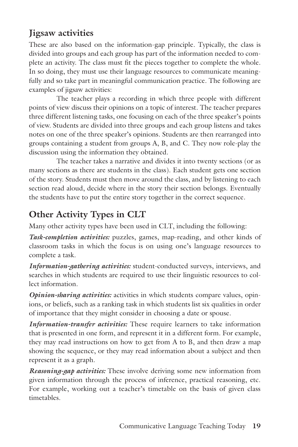# **Jigsaw activities**

These are also based on the information-gap principle. Typically, the class is divided into groups and each group has part of the information needed to complete an activity. The class must fit the pieces together to complete the whole. In so doing, they must use their language resources to communicate meaningfully and so take part in meaningful communication practice. The following are examples of jigsaw activities:

The teacher plays a recording in which three people with different points of view discuss their opinions on a topic of interest. The teacher prepares three different listening tasks, one focusing on each of the three speaker's points of view. Students are divided into three groups and each group listens and takes notes on one of the three speaker's opinions. Students are then rearranged into groups containing a student from groups A, B, and C. They now role-play the discussion using the information they obtained.

The teacher takes a narrative and divides it into twenty sections (or as many sections as there are students in the class). Each student gets one section of the story. Students must then move around the class, and by listening to each section read aloud, decide where in the story their section belongs. Eventually the students have to put the entire story together in the correct sequence.

# **Other Activity Types in CLT**

Many other activity types have been used in CLT, including the following:

*Task-completion activities:* puzzles, games, map-reading, and other kinds of classroom tasks in which the focus is on using one's language resources to complete a task.

*Information-gathering activities:* student-conducted surveys, interviews, and searches in which students are required to use their linguistic resources to collect information.

*Opinion-sharing activities:* activities in which students compare values, opinions, or beliefs, such as a ranking task in which students list six qualities in order of importance that they might consider in choosing a date or spouse.

*Information-transfer activities:* These require learners to take information that is presented in one form, and represent it in a different form. For example, they may read instructions on how to get from A to B, and then draw a map showing the sequence, or they may read information about a subject and then represent it as a graph.

*Reasoning-gap activities:* These involve deriving some new information from given information through the process of inference, practical reasoning, etc. For example, working out a teacher's timetable on the basis of given class timetables.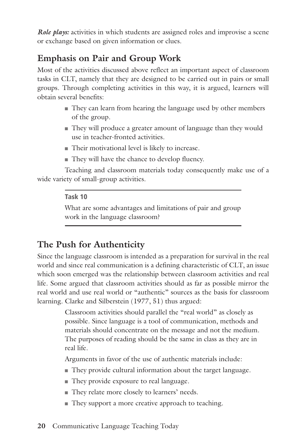*Role plays:* activities in which students are assigned roles and improvise a scene or exchange based on given information or clues.

# **Emphasis on Pair and Group Work**

Most of the activities discussed above reflect an important aspect of classroom tasks in CLT, namely that they are designed to be carried out in pairs or small groups. Through completing activities in this way, it is argued, learners will obtain several benefits:

- $\blacksquare$  They can learn from hearing the language used by other members of the group.
- They will produce a greater amount of language than they would use in teacher-fronted activities.
- $\blacksquare$  Their motivational level is likely to increase.
- $\blacksquare$  They will have the chance to develop fluency.

Teaching and classroom materials today consequently make use of a wide variety of small-group activities.

#### Task 10

What are some advantages and limitations of pair and group work in the language classroom?

# **The Push for Authenticity**

Since the language classroom is intended as a preparation for survival in the real world and since real communication is a defining characteristic of CLT, an issue which soon emerged was the relationship between classroom activities and real life. Some argued that classroom activities should as far as possible mirror the real world and use real world or "authentic" sources as the basis for classroom learning. Clarke and Silberstein (1977, 51) thus argued:

> Classroom activities should parallel the "real world" as closely as possible. Since language is a tool of communication, methods and materials should concentrate on the message and not the medium. The purposes of reading should be the same in class as they are in real life.

Arguments in favor of the use of authentic materials include:

- $\blacksquare$  They provide cultural information about the target language.
- $\blacksquare$  They provide exposure to real language.
- $\blacksquare$  They relate more closely to learners' needs.
- $\blacksquare$  They support a more creative approach to teaching.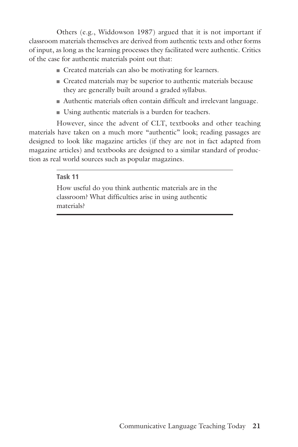Others (e.g., Widdowson 1987) argued that it is not important if classroom materials themselves are derived from authentic texts and other forms of input, as long as the learning processes they facilitated were authentic. Critics of the case for authentic materials point out that:

- Created materials can also be motivating for learners.
- $\blacksquare$  Created materials may be superior to authentic materials because they are generally built around a graded syllabus.
- $\blacksquare$  Authentic materials often contain difficult and irrelevant language.
- $\blacksquare$  Using authentic materials is a burden for teachers.

However, since the advent of CLT, textbooks and other teaching materials have taken on a much more "authentic" look; reading passages are designed to look like magazine articles (if they are not in fact adapted from magazine articles) and textbooks are designed to a similar standard of production as real world sources such as popular magazines.

Task 11

How useful do you think authentic materials are in the classroom? What difficulties arise in using authentic materials?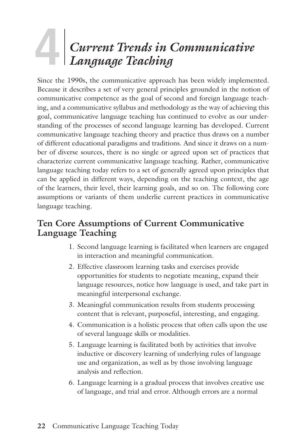# **4** *Current Trends in Communicative Language Teaching*

Since the 1990s, the communicative approach has been widely implemented. Because it describes a set of very general principles grounded in the notion of communicative competence as the goal of second and foreign language teaching, and a communicative syllabus and methodology as the way of achieving this goal, communicative language teaching has continued to evolve as our understanding of the processes of second language learning has developed. Current communicative language teaching theory and practice thus draws on a number of different educational paradigms and traditions. And since it draws on a number of diverse sources, there is no single or agreed upon set of practices that characterize current communicative language teaching. Rather, communicative language teaching today refers to a set of generally agreed upon principles that can be applied in different ways, depending on the teaching context, the age of the learners, their level, their learning goals, and so on. The following core assumptions or variants of them underlie current practices in communicative language teaching.

## **Ten Core Assumptions of Current Communicative Language Teaching**

- 1. Second language learning is facilitated when learners are engaged in interaction and meaningful communication.
- 2. Effective classroom learning tasks and exercises provide opportunities for students to negotiate meaning, expand their language resources, notice how language is used, and take part in meaningful interpersonal exchange.
- 3. Meaningful communication results from students processing content that is relevant, purposeful, interesting, and engaging.
- 4. Communication is a holistic process that often calls upon the use of several language skills or modalities.
- 5. Language learning is facilitated both by activities that involve inductive or discovery learning of underlying rules of language use and organization, as well as by those involving language analysis and reflection.
- 6. Language learning is a gradual process that involves creative use of language, and trial and error. Although errors are a normal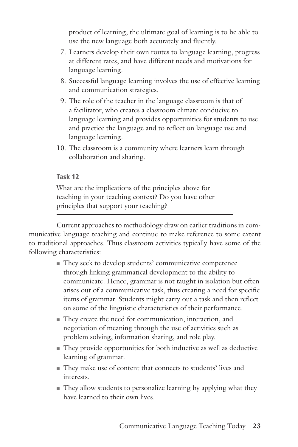product of learning, the ultimate goal of learning is to be able to use the new language both accurately and fluently.

- 7. Learners develop their own routes to language learning, progress at different rates, and have different needs and motivations for language learning.
- 8. Successful language learning involves the use of effective learning and communication strategies.
- 9. The role of the teacher in the language classroom is that of a facilitator, who creates a classroom climate conducive to language learning and provides opportunities for students to use and practice the language and to reflect on language use and language learning.
- 10. The classroom is a community where learners learn through collaboration and sharing.

#### Task 12

What are the implications of the principles above for teaching in your teaching context? Do you have other principles that support your teaching?

Current approaches to methodology draw on earlier traditions in communicative language teaching and continue to make reference to some extent to traditional approaches. Thus classroom activities typically have some of the following characteristics:

- $\blacksquare$  They seek to develop students' communicative competence through linking grammatical development to the ability to communicate. Hence, grammar is not taught in isolation but often arises out of a communicative task, thus creating a need for specific items of grammar. Students might carry out a task and then reflect on some of the linguistic characteristics of their performance.
- $\blacksquare$  They create the need for communication, interaction, and negotiation of meaning through the use of activities such as problem solving, information sharing, and role play.
- $\blacksquare$  They provide opportunities for both inductive as well as deductive learning of grammar.
- They make use of content that connects to students' lives and interests.
- $\blacksquare$  They allow students to personalize learning by applying what they have learned to their own lives.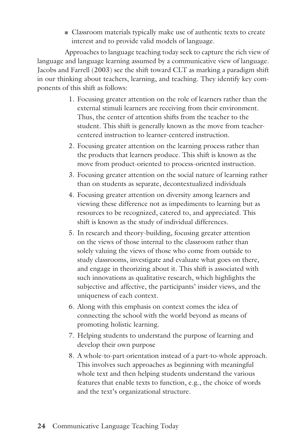Glassroom materials typically make use of authentic texts to create interest and to provide valid models of language.

Approaches to language teaching today seek to capture the rich view of language and language learning assumed by a communicative view of language. Jacobs and Farrell (2003) see the shift toward CLT as marking a paradigm shift in our thinking about teachers, learning, and teaching. They identify key components of this shift as follows:

- 1. Focusing greater attention on the role of learners rather than the external stimuli learners are receiving from their environment. Thus, the center of attention shifts from the teacher to the student. This shift is generally known as the move from teachercentered instruction to learner-centered instruction.
- 2. Focusing greater attention on the learning process rather than the products that learners produce. This shift is known as the move from product-oriented to process-oriented instruction.
- 3. Focusing greater attention on the social nature of learning rather than on students as separate, decontextualized individuals
- 4. Focusing greater attention on diversity among learners and viewing these difference not as impediments to learning but as resources to be recognized, catered to, and appreciated. This shift is known as the study of individual differences.
- 5. In research and theory-building, focusing greater attention on the views of those internal to the classroom rather than solely valuing the views of those who come from outside to study classrooms, investigate and evaluate what goes on there, and engage in theorizing about it. This shift is associated with such innovations as qualitative research, which highlights the subjective and affective, the participants' insider views, and the uniqueness of each context.
- 6. Along with this emphasis on context comes the idea of connecting the school with the world beyond as means of promoting holistic learning.
- 7. Helping students to understand the purpose of learning and develop their own purpose
- 8. A whole-to-part orientation instead of a part-to-whole approach. This involves such approaches as beginning with meaningful whole text and then helping students understand the various features that enable texts to function, e.g., the choice of words and the text's organizational structure.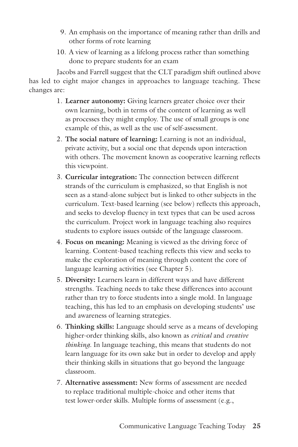- 9. An emphasis on the importance of meaning rather than drills and other forms of rote learning
- 10. A view of learning as a lifelong process rather than something done to prepare students for an exam

Jacobs and Farrell suggest that the CLT paradigm shift outlined above has led to eight major changes in approaches to language teaching. These changes are:

- 1. **Learner autonomy:** Giving learners greater choice over their own learning, both in terms of the content of learning as well as processes they might employ. The use of small groups is one example of this, as well as the use of self-assessment.
- 2. **The social nature of learning:** Learning is not an individual, private activity, but a social one that depends upon interaction with others. The movement known as cooperative learning reflects this viewpoint.
- 3. **Curricular integration:** The connection between different strands of the curriculum is emphasized, so that English is not seen as a stand-alone subject but is linked to other subjects in the curriculum. Text-based learning (see below) reflects this approach, and seeks to develop fluency in text types that can be used across the curriculum. Project work in language teaching also requires students to explore issues outside of the language classroom.
- 4. **Focus on meaning:** Meaning is viewed as the driving force of learning. Content-based teaching reflects this view and seeks to make the exploration of meaning through content the core of language learning activities (see Chapter 5).
- 5. **Diversity:** Learners learn in different ways and have different strengths. Teaching needs to take these differences into account rather than try to force students into a single mold. In language teaching, this has led to an emphasis on developing students' use and awareness of learning strategies.
- 6. **Thinking skills:** Language should serve as a means of developing higher-order thinking skills, also known as *critical* and *creative thinking.* In language teaching, this means that students do not learn language for its own sake but in order to develop and apply their thinking skills in situations that go beyond the language classroom.
- 7. **Alternative assessment:** New forms of assessment are needed to replace traditional multiple-choice and other items that test lower-order skills. Multiple forms of assessment (e.g.,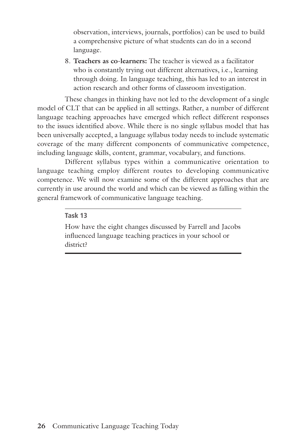observation, interviews, journals, portfolios) can be used to build a comprehensive picture of what students can do in a second language.

8. **Teachers as co-learners:** The teacher is viewed as a facilitator who is constantly trying out different alternatives, i.e., learning through doing. In language teaching, this has led to an interest in action research and other forms of classroom investigation.

These changes in thinking have not led to the development of a single model of CLT that can be applied in all settings. Rather, a number of different language teaching approaches have emerged which reflect different responses to the issues identified above. While there is no single syllabus model that has been universally accepted, a language syllabus today needs to include systematic coverage of the many different components of communicative competence, including language skills, content, grammar, vocabulary, and functions.

Different syllabus types within a communicative orientation to language teaching employ different routes to developing communicative competence. We will now examine some of the different approaches that are currently in use around the world and which can be viewed as falling within the general framework of communicative language teaching.

#### Task 13

How have the eight changes discussed by Farrell and Jacobs influenced language teaching practices in your school or district?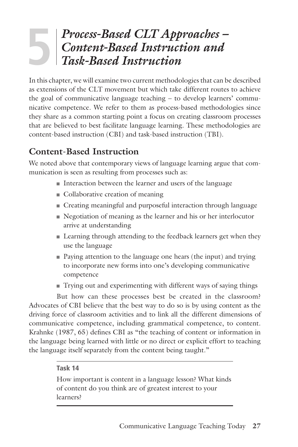# **1** Process-Based CLT Approaches –<br>
Content-Based Instruction and<br>
Task-Based Instruction *Content-Based Instruction and Task-Based Instruction*

In this chapter, we will examine two current methodologies that can be described as extensions of the CLT movement but which take different routes to achieve the goal of communicative language teaching – to develop learners' communicative competence. We refer to them as process-based methodologies since they share as a common starting point a focus on creating classroom processes that are believed to best facilitate language learning. These methodologies are content-based instruction (CBI) and task-based instruction (TBI).

# **Content-Based Instruction**

We noted above that contemporary views of language learning argue that communication is seen as resulting from processes such as:

- Interaction between the learner and users of the language
- $\blacksquare$  Collaborative creation of meaning
- $\blacksquare$  Creating meaningful and purposeful interaction through language
- $\blacksquare$  Negotiation of meaning as the learner and his or her interlocutor arrive at understanding
- Exerning through attending to the feedback learners get when they use the language
- $\blacksquare$  Paying attention to the language one hears (the input) and trying to incorporate new forms into one's developing communicative competence
- $\blacksquare$  Trying out and experimenting with different ways of saying things

But how can these processes best be created in the classroom? Advocates of CBI believe that the best way to do so is by using content as the driving force of classroom activities and to link all the different dimensions of communicative competence, including grammatical competence, to content. Krahnke (1987, 65) defines CBI as "the teaching of content or information in the language being learned with little or no direct or explicit effort to teaching the language itself separately from the content being taught."

#### Task 14

How important is content in a language lesson? What kinds of content do you think are of greatest interest to your learners?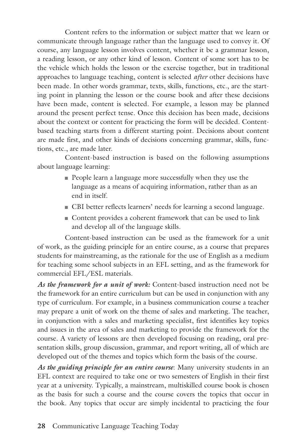Content refers to the information or subject matter that we learn or communicate through language rather than the language used to convey it. Of course, any language lesson involves content, whether it be a grammar lesson, a reading lesson, or any other kind of lesson. Content of some sort has to be the vehicle which holds the lesson or the exercise together, but in traditional approaches to language teaching, content is selected *after* other decisions have been made. In other words grammar, texts, skills, functions, etc., are the starting point in planning the lesson or the course book and after these decisions have been made, content is selected. For example, a lesson may be planned around the present perfect tense. Once this decision has been made, decisions about the context or content for practicing the form will be decided. Contentbased teaching starts from a different starting point. Decisions about content are made first, and other kinds of decisions concerning grammar, skills, functions, etc., are made later.

Content-based instruction is based on the following assumptions about language learning:

- People learn a language more successfully when they use the language as a means of acquiring information, rather than as an end in itself.
- CBI better reflects learners' needs for learning a second language.
- $\blacksquare$  Content provides a coherent framework that can be used to link and develop all of the language skills.

Content-based instruction can be used as the framework for a unit of work, as the guiding principle for an entire course, as a course that prepares students for mainstreaming, as the rationale for the use of English as a medium for teaching some school subjects in an EFL setting, and as the framework for commercial EFL/ESL materials.

*As the framework for a unit of work:* Content-based instruction need not be the framework for an entire curriculum but can be used in conjunction with any type of curriculum. For example, in a business communication course a teacher may prepare a unit of work on the theme of sales and marketing. The teacher, in conjunction with a sales and marketing specialist, first identifies key topics and issues in the area of sales and marketing to provide the framework for the course. A variety of lessons are then developed focusing on reading, oral presentation skills, group discussion, grammar, and report writing, all of which are developed out of the themes and topics which form the basis of the course.

*As the guiding principle for an entire course*: Many university students in an EFL context are required to take one or two semesters of English in their first year at a university. Typically, a mainstream, multiskilled course book is chosen as the basis for such a course and the course covers the topics that occur in the book. Any topics that occur are simply incidental to practicing the four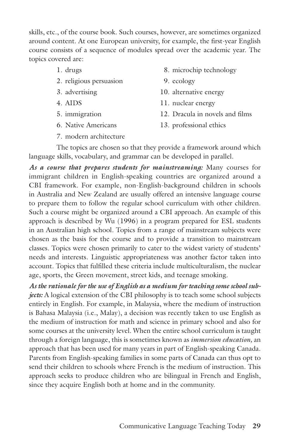skills, etc., of the course book. Such courses, however, are sometimes organized around content. At one European university, for example, the first-year English course consists of a sequence of modules spread over the academic year. The topics covered are:

- 
- 2. religious persuasion 9. ecology
- 
- 
- 
- 
- 1. drugs 8. microchip technology
	-
- 3. advertising 10. alternative energy
- 4. AIDS 11. nuclear energy
- 5. immigration 12. Dracula in novels and films
- 6. Native Americans 13. professional ethics
- 7. modern architecture

The topics are chosen so that they provide a framework around which language skills, vocabulary, and grammar can be developed in parallel.

*As a course that prepares students for mainstreaming:* Many courses for immigrant children in English-speaking countries are organized around a CBI framework. For example, non-English-background children in schools in Australia and New Zealand are usually offered an intensive language course to prepare them to follow the regular school curriculum with other children. Such a course might be organized around a CBI approach. An example of this approach is described by Wu (1996) in a program prepared for ESL students in an Australian high school. Topics from a range of mainstream subjects were chosen as the basis for the course and to provide a transition to mainstream classes. Topics were chosen primarily to cater to the widest variety of students' needs and interests. Linguistic appropriateness was another factor taken into account. Topics that fulfilled these criteria include multiculturalism, the nuclear age, sports, the Green movement, street kids, and teenage smoking.

*As the rationale for the use of English as a medium for teaching some school subjects:* A logical extension of the CBI philosophy is to teach some school subjects entirely in English. For example, in Malaysia, where the medium of instruction is Bahasa Malaysia (i.e., Malay), a decision was recently taken to use English as the medium of instruction for math and science in primary school and also for some courses at the university level. When the entire school curriculum is taught through a foreign language, this is sometimes known as *immersion education,* an approach that has been used for many years in part of English-speaking Canada. Parents from English-speaking families in some parts of Canada can thus opt to send their children to schools where French is the medium of instruction. This approach seeks to produce children who are bilingual in French and English, since they acquire English both at home and in the community.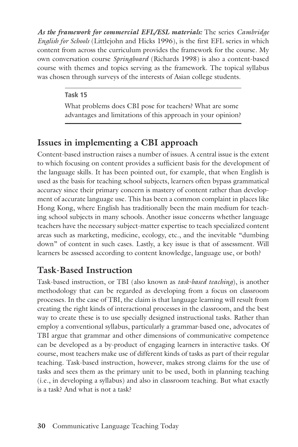*As the framework for commercial EFL/ESL materials:* The series *Cambridge English for Schools* (Littlejohn and Hicks 1996), is the first EFL series in which content from across the curriculum provides the framework for the course. My own conversation course *Springboard* (Richards 1998) is also a content-based course with themes and topics serving as the framework. The topical syllabus was chosen through surveys of the interests of Asian college students.

#### Task 15

What problems does CBI pose for teachers? What are some advantages and limitations of this approach in your opinion?

# **Issues in implementing a CBI approach**

Content-based instruction raises a number of issues. A central issue is the extent to which focusing on content provides a sufficient basis for the development of the language skills. It has been pointed out, for example, that when English is used as the basis for teaching school subjects, learners often bypass grammatical accuracy since their primary concern is mastery of content rather than development of accurate language use. This has been a common complaint in places like Hong Kong, where English has traditionally been the main medium for teaching school subjects in many schools. Another issue concerns whether language teachers have the necessary subject-matter expertise to teach specialized content areas such as marketing, medicine, ecology, etc., and the inevitable "dumbing down" of content in such cases. Lastly, a key issue is that of assessment. Will learners be assessed according to content knowledge, language use, or both?

## **Task-Based Instruction**

Task-based instruction, or TBI (also known as *task-based teaching*), is another methodology that can be regarded as developing from a focus on classroom processes. In the case of TBI, the claim is that language learning will result from creating the right kinds of interactional processes in the classroom, and the best way to create these is to use specially designed instructional tasks. Rather than employ a conventional syllabus, particularly a grammar-based one, advocates of TBI argue that grammar and other dimensions of communicative competence can be developed as a by-product of engaging learners in interactive tasks. Of course, most teachers make use of different kinds of tasks as part of their regular teaching. Task-based instruction, however, makes strong claims for the use of tasks and sees them as the primary unit to be used, both in planning teaching (i.e., in developing a syllabus) and also in classroom teaching. But what exactly is a task? And what is not a task?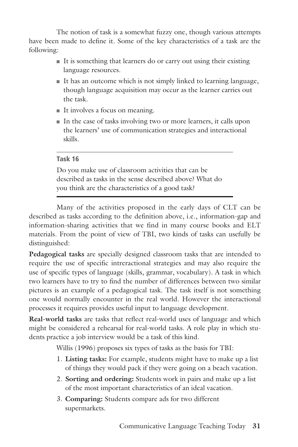The notion of task is a somewhat fuzzy one, though various attempts have been made to define it. Some of the key characteristics of a task are the following:

- It is something that learners do or carry out using their existing language resources.
- $\blacksquare$  It has an outcome which is not simply linked to learning language, though language acquisition may occur as the learner carries out the task.
- $\blacksquare$  It involves a focus on meaning.
- In the case of tasks involving two or more learners, it calls upon the learners' use of communication strategies and interactional skills.

#### Task 16

Do you make use of classroom activities that can be described as tasks in the sense described above? What do you think are the characteristics of a good task?

Many of the activities proposed in the early days of CLT can be described as tasks according to the definition above, i.e., information-gap and information-sharing activities that we find in many course books and ELT materials. From the point of view of TBI, two kinds of tasks can usefully be distinguished:

**Pedagogical tasks** are specially designed classroom tasks that are intended to require the use of specific intreractional strategies and may also require the use of specific types of language (skills, grammar, vocabulary). A task in which two learners have to try to find the number of differences between two similar pictures is an example of a pedagogical task. The task itself is not something one would normally encounter in the real world. However the interactional processes it requires provides useful input to language development.

**Real-world tasks** are tasks that reflect real-world uses of language and which might be considered a rehearsal for real-world tasks. A role play in which students practice a job interview would be a task of this kind.

Willis (1996) proposes six types of tasks as the basis for TBI:

- 1. **Listing tasks:** For example, students might have to make up a list of things they would pack if they were going on a beach vacation.
- 2. **Sorting and ordering:** Students work in pairs and make up a list of the most important characteristics of an ideal vacation.
- 3. **Comparing:** Students compare ads for two different supermarkets.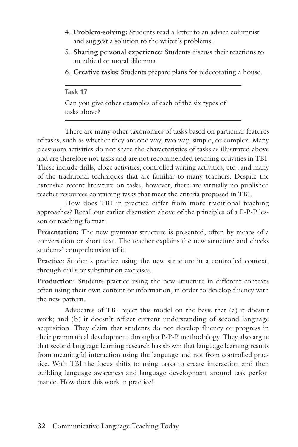- 4. **Problem-solving:** Students read a letter to an advice columnist and suggest a solution to the writer's problems.
- 5. **Sharing personal experience:** Students discuss their reactions to an ethical or moral dilemma.
- 6. **Creative tasks:** Students prepare plans for redecorating a house.

#### Task 17 Can you give other examples of each of the six types of tasks above?

There are many other taxonomies of tasks based on particular features of tasks, such as whether they are one way, two way, simple, or complex. Many classroom activities do not share the characteristics of tasks as illustrated above and are therefore not tasks and are not recommended teaching activities in TBI. These include drills, cloze activities, controlled writing activities, etc., and many of the traditional techniques that are familiar to many teachers. Despite the extensive recent literature on tasks, however, there are virtually no published teacher resources containing tasks that meet the criteria proposed in TBI.

How does TBI in practice differ from more traditional teaching approaches? Recall our earlier discussion above of the principles of a P-P-P lesson or teaching format:

**Presentation:** The new grammar structure is presented, often by means of a conversation or short text. The teacher explains the new structure and checks students' comprehension of it.

**Practice:** Students practice using the new structure in a controlled context, through drills or substitution exercises.

**Production:** Students practice using the new structure in different contexts often using their own content or information, in order to develop fluency with the new pattern.

Advocates of TBI reject this model on the basis that (a) it doesn't work; and (b) it doesn't reflect current understanding of second language acquisition. They claim that students do not develop fluency or progress in their grammatical development through a P-P-P methodology. They also argue that second language learning research has shown that language learning results from meaningful interaction using the language and not from controlled practice. With TBI the focus shifts to using tasks to create interaction and then building language awareness and language development around task performance. How does this work in practice?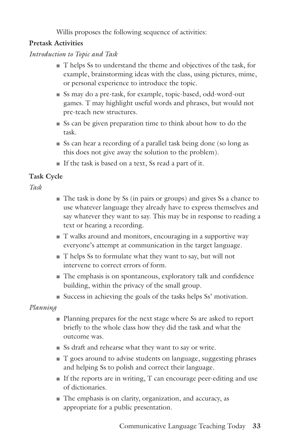Willis proposes the following sequence of activities:

#### **Pretask Activities**

#### *Introduction to Topic and Task*

- Thelps Ss to understand the theme and objectives of the task, for example, brainstorming ideas with the class, using pictures, mime, or personal experience to introduce the topic.
- Ss may do a pre-task, for example, topic-based, odd-word-out games. T may highlight useful words and phrases, but would not pre-teach new structures.
- $\blacksquare$  Ss can be given preparation time to think about how to do the task.
- $\blacksquare$  Ss can hear a recording of a parallel task being done (so long as this does not give away the solution to the problem).
- $\blacksquare$  If the task is based on a text, Ss read a part of it.

#### **Task Cycle**

*Task*

- $\blacksquare$  The task is done by Ss (in pairs or groups) and gives Ss a chance to use whatever language they already have to express themselves and say whatever they want to say. This may be in response to reading a text or hearing a recording.
- $\blacksquare$  T walks around and monitors, encouraging in a supportive way everyone's attempt at communication in the target language.
- $\blacksquare$  T helps Ss to formulate what they want to say, but will not intervene to correct errors of form.
- $\blacksquare$  The emphasis is on spontaneous, exploratory talk and confidence building, within the privacy of the small group.

 $\blacksquare$  Success in achieving the goals of the tasks helps Ss' motivation.

#### *Planning*

- I Planning prepares for the next stage where Ss are asked to report briefly to the whole class how they did the task and what the outcome was.
- $S$ s draft and rehearse what they want to say or write.
- $\blacksquare$  T goes around to advise students on language, suggesting phrases and helping Ss to polish and correct their language.
- $\blacksquare$  If the reports are in writing, T can encourage peer-editing and use of dictionaries.
- $\blacksquare$  The emphasis is on clarity, organization, and accuracy, as appropriate for a public presentation.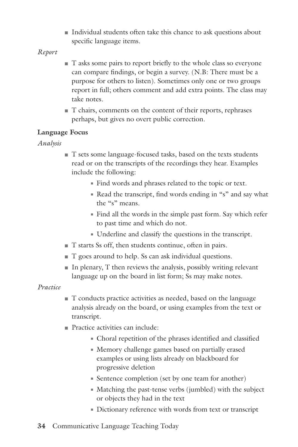$\blacksquare$  Individual students often take this chance to ask questions about specific language items.

#### *Report*

- $\blacksquare$  T asks some pairs to report briefly to the whole class so everyone can compare findings, or begin a survey. (N.B: There must be a purpose for others to listen). Sometimes only one or two groups report in full; others comment and add extra points. The class may take notes.
- $\blacksquare$  T chairs, comments on the content of their reports, rephrases perhaps, but gives no overt public correction.

#### **Language Focus**

#### *Analysis*

- $\blacksquare$  T sets some language-focused tasks, based on the texts students read or on the transcripts of the recordings they hear. Examples include the following:
	- $\blacksquare$  Find words and phrases related to the topic or text.
	- Read the transcript, find words ending in "s" and say what the "s" means.
	- $\blacksquare$  Find all the words in the simple past form. Say which refer to past time and which do not.
	- $\blacksquare$  Underline and classify the questions in the transcript.
- $\blacksquare$  T starts Ss off, then students continue, often in pairs.
- $\blacksquare$  T goes around to help. Ss can ask individual questions.
- $\blacksquare$  In plenary, T then reviews the analysis, possibly writing relevant language up on the board in list form; Ss may make notes.

#### *Practice*

- $\blacksquare$  T conducts practice activities as needed, based on the language analysis already on the board, or using examples from the text or transcript.
- $\blacksquare$  Practice activities can include:
	- Choral repetition of the phrases identified and classified
	- Memory challenge games based on partially erased examples or using lists already on blackboard for progressive deletion
	- Sentence completion (set by one team for another)
	- Matching the past-tense verbs (jumbled) with the subject or objects they had in the text
	- Dictionary reference with words from text or transcript
- **34** Communicative Language Teaching Today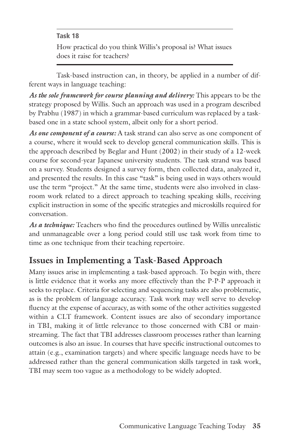#### Task 18

How practical do you think Willis's proposal is? What issues does it raise for teachers?

Task-based instruction can, in theory, be applied in a number of different ways in language teaching:

*As the sole framework for course planning and delivery:* This appears to be the strategy proposed by Willis. Such an approach was used in a program described by Prabhu (1987) in which a grammar-based curriculum was replaced by a taskbased one in a state school system, albeit only for a short period.

*As one component of a course:* A task strand can also serve as one component of a course, where it would seek to develop general communication skills. This is the approach described by Beglar and Hunt (2002) in their study of a 12-week course for second-year Japanese university students. The task strand was based on a survey. Students designed a survey form, then collected data, analyzed it, and presented the results. In this case "task" is being used in ways others would use the term "project." At the same time, students were also involved in classroom work related to a direct approach to teaching speaking skills, receiving explicit instruction in some of the specific strategies and microskills required for conversation.

*As a technique:* Teachers who find the procedures outlined by Willis unrealistic and unmanageable over a long period could still use task work from time to time as one technique from their teaching repertoire.

### **Issues in Implementing a Task-Based Approach**

Many issues arise in implementing a task-based approach. To begin with, there is little evidence that it works any more effectively than the P-P-P approach it seeks to replace. Criteria for selecting and sequencing tasks are also problematic, as is the problem of language accuracy. Task work may well serve to develop fluency at the expense of accuracy, as with some of the other activities suggested within a CLT framework. Content issues are also of secondary importance in TBI, making it of little relevance to those concerned with CBI or mainstreaming. The fact that TBI addresses classroom processes rather than learning outcomes is also an issue. In courses that have specific instructional outcomes to attain (e.g., examination targets) and where specific language needs have to be addressed rather than the general communication skills targeted in task work, TBI may seem too vague as a methodology to be widely adopted.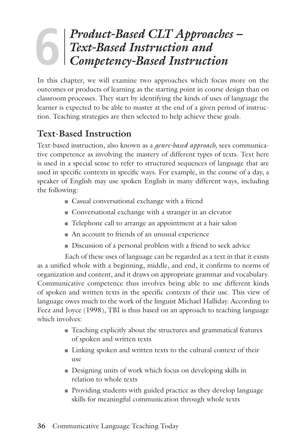# **6** *Product-Based CLT Approaches* – *Text-Based Instruction and Competency-Based Instruction Text-Based Instruction and Competency-Based Instruction*

In this chapter, we will examine two approaches which focus more on the outcomes or products of learning as the starting point in course design than on classroom processes. They start by identifying the kinds of uses of language the learner is expected to be able to master at the end of a given period of instruction. Teaching strategies are then selected to help achieve these goals.

# **Text-Based Instruction**

Text-based instruction, also known as a *genre-based approach,* sees communicative competence as involving the mastery of different types of texts. Text here is used in a special sense to refer to structured sequences of language that are used in specific contexts in specific ways. For example, in the course of a day, a speaker of English may use spoken English in many different ways, including the following:

- $\blacksquare$  Casual conversational exchange with a friend
- $\blacksquare$  Conversational exchange with a stranger in an elevator
- Elephone call to arrange an appointment at a hair salon
- $\blacksquare$  An account to friends of an unusual experience
- $\blacksquare$  Discussion of a personal problem with a friend to seek advice

Each of these uses of language can be regarded as a text in that it exists as a unified whole with a beginning, middle, and end, it confirms to norms of organization and content, and it draws on appropriate grammar and vocabulary. Communicative competence thus involves being able to use different kinds of spoken and written texts in the specific contexts of their use. This view of language owes much to the work of the linguist Michael Halliday. According to Feez and Joyce (1998), TBI is thus based on an approach to teaching language which involves:

- Teaching explicitly about the structures and grammatical features of spoken and written texts
- $\blacksquare$  Linking spoken and written texts to the cultural context of their use
- Designing units of work which focus on developing skills in relation to whole texts
- Providing students with guided practice as they develop language skills for meaningful communication through whole texts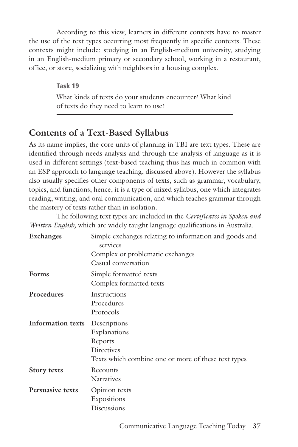According to this view, learners in different contexts have to master the use of the text types occurring most frequently in specific contexts. These contexts might include: studying in an English-medium university, studying in an English-medium primary or secondary school, working in a restaurant, office, or store, socializing with neighbors in a housing complex.

> Task 19 What kinds of texts do your students encounter? What kind of texts do they need to learn to use?

### **Contents of a Text-Based Syllabus**

As its name implies, the core units of planning in TBI are text types. These are identified through needs analysis and through the analysis of language as it is used in different settings (text-based teaching thus has much in common with an ESP approach to language teaching, discussed above). However the syllabus also usually specifies other components of texts, such as grammar, vocabulary, topics, and functions; hence, it is a type of mixed syllabus, one which integrates reading, writing, and oral communication, and which teaches grammar through the mastery of texts rather than in isolation.

The following text types are included in the *Certificates in Spoken and Written English,* which are widely taught language qualifications in Australia.

| <b>Exchanges</b>  | Simple exchanges relating to information and goods and<br>services                                                  |
|-------------------|---------------------------------------------------------------------------------------------------------------------|
|                   | Complex or problematic exchanges<br>Casual conversation                                                             |
| Forms             | Simple formatted texts<br>Complex formatted texts                                                                   |
| Procedures        | Instructions<br>Procedures<br>Protocols                                                                             |
| Information texts | Descriptions<br>Explanations<br>Reports<br><b>Directives</b><br>Texts which combine one or more of these text types |
| Story texts       | Recounts<br><b>Narratives</b>                                                                                       |
| Persuasive texts  | Opinion texts<br>Expositions<br><b>Discussions</b>                                                                  |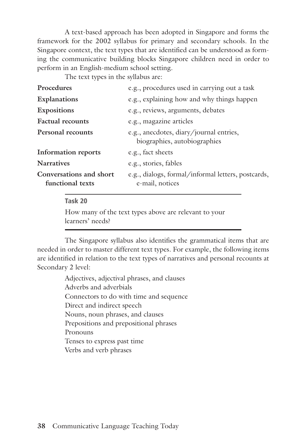A text-based approach has been adopted in Singapore and forms the framework for the 2002 syllabus for primary and secondary schools. In the Singapore context, the text types that are identified can be understood as forming the communicative building blocks Singapore children need in order to perform in an English-medium school setting.

The text types in the syllabus are:

| e.g., procedures used in carrying out a task                            |
|-------------------------------------------------------------------------|
| e.g., explaining how and why things happen                              |
| e.g., reviews, arguments, debates                                       |
| e.g., magazine articles                                                 |
| e.g., anecdotes, diary/journal entries,<br>biographies, autobiographies |
| e.g., fact sheets                                                       |
| e.g., stories, fables                                                   |
| e.g., dialogs, formal/informal letters, postcards,<br>e-mail, notices   |
|                                                                         |

Task 20 How many of the text types above are relevant to your learners' needs?

The Singapore syllabus also identifies the grammatical items that are needed in order to master different text types. For example, the following items are identified in relation to the text types of narratives and personal recounts at Secondary 2 level:

> Adjectives, adjectival phrases, and clauses Adverbs and adverbials Connectors to do with time and sequence Direct and indirect speech Nouns, noun phrases, and clauses Prepositions and prepositional phrases Pronouns Tenses to express past time Verbs and verb phrases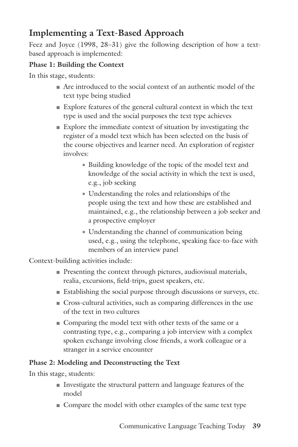# **Implementing a Text-Based Approach**

Feez and Joyce (1998, 28–31) give the following description of how a textbased approach is implemented:

#### **Phase 1: Building the Context**

In this stage, students:

- $\blacksquare$  Are introduced to the social context of an authentic model of the text type being studied
- $\blacksquare$  Explore features of the general cultural context in which the text type is used and the social purposes the text type achieves
- $\blacksquare$  Explore the immediate context of situation by investigating the register of a model text which has been selected on the basis of the course objectives and learner need. An exploration of register involves:
	- Building knowledge of the topic of the model text and knowledge of the social activity in which the text is used, e.g., job seeking
	- Understanding the roles and relationships of the people using the text and how these are established and maintained, e.g., the relationship between a job seeker and a prospective employer
	- If Understanding the channel of communication being used, e.g., using the telephone, speaking face-to-face with members of an interview panel

Context-building activities include:

- $\blacksquare$  Presenting the context through pictures, audiovisual materials, realia, excursions, field-trips, guest speakers, etc.
- $\blacksquare$  Establishing the social purpose through discussions or surveys, etc.
- $\blacksquare$  Cross-cultural activities, such as comparing differences in the use of the text in two cultures
- Gomparing the model text with other texts of the same or a contrasting type, e.g., comparing a job interview with a complex spoken exchange involving close friends, a work colleague or a stranger in a service encounter

#### **Phase 2: Modeling and Deconstructing the Text**

In this stage, students:

- Investigate the structural pattern and language features of the model
- Gompare the model with other examples of the same text type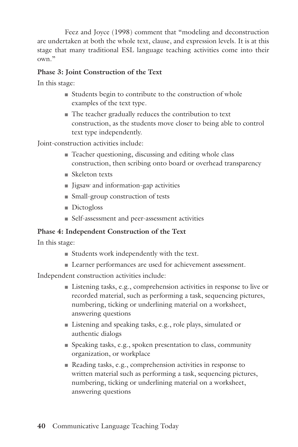Feez and Joyce (1998) comment that "modeling and deconstruction are undertaken at both the whole text, clause, and expression levels. It is at this stage that many traditional ESL language teaching activities come into their own."

#### **Phase 3: Joint Construction of the Text**

In this stage:

- $\blacksquare$  Students begin to contribute to the construction of whole examples of the text type.
- $\blacksquare$  The teacher gradually reduces the contribution to text construction, as the students move closer to being able to control text type independently.

Joint-construction activities include:

- Teacher questioning, discussing and editing whole class construction, then scribing onto board or overhead transparency
- $\blacksquare$  Skeleton texts
- I Jigsaw and information-gap activities
- $\blacksquare$  Small-group construction of tests
- $\blacksquare$  Dictogloss
- Gelf-assessment and peer-assessment activities

#### **Phase 4: Independent Construction of the Text**

In this stage:

- $\blacksquare$  Students work independently with the text.
- Learner performances are used for achievement assessment.

Independent construction activities include:

- $\blacksquare$  Listening tasks, e.g., comprehension activities in response to live or recorded material, such as performing a task, sequencing pictures, numbering, ticking or underlining material on a worksheet, answering questions
- Listening and speaking tasks, e.g., role plays, simulated or authentic dialogs
- Speaking tasks, e.g., spoken presentation to class, community organization, or workplace
- Reading tasks, e.g., comprehension activities in response to written material such as performing a task, sequencing pictures, numbering, ticking or underlining material on a worksheet, answering questions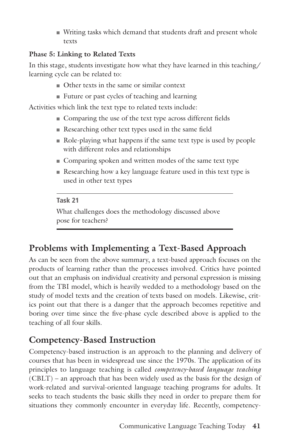■ Writing tasks which demand that students draft and present whole texts

#### **Phase 5: Linking to Related Texts**

In this stage, students investigate how what they have learned in this teaching/ learning cycle can be related to:

- $\blacksquare$  Other texts in the same or similar context
- $\blacksquare$  Future or past cycles of teaching and learning

Activities which link the text type to related texts include:

- $\blacksquare$  Comparing the use of the text type across different fields
- Researching other text types used in the same field
- $\blacksquare$  Role-playing what happens if the same text type is used by people with different roles and relationships
- $\blacksquare$  Comparing spoken and written modes of the same text type
- Researching how a key language feature used in this text type is used in other text types

Task 21 What challenges does the methodology discussed above pose for teachers?

# **Problems with Implementing a Text-Based Approach**

As can be seen from the above summary, a text-based approach focuses on the products of learning rather than the processes involved. Critics have pointed out that an emphasis on individual creativity and personal expression is missing from the TBI model, which is heavily wedded to a methodology based on the study of model texts and the creation of texts based on models. Likewise, critics point out that there is a danger that the approach becomes repetitive and boring over time since the five-phase cycle described above is applied to the teaching of all four skills.

# **Competency-Based Instruction**

Competency-based instruction is an approach to the planning and delivery of courses that has been in widespread use since the 1970s. The application of its principles to language teaching is called *competency-based language teaching* (CBLT) – an approach that has been widely used as the basis for the design of work-related and survival-oriented language teaching programs for adults. It seeks to teach students the basic skills they need in order to prepare them for situations they commonly encounter in everyday life. Recently, competency-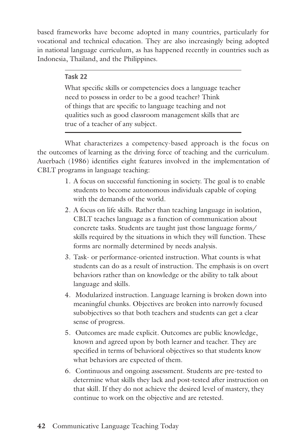based frameworks have become adopted in many countries, particularly for vocational and technical education. They are also increasingly being adopted in national language curriculum, as has happened recently in countries such as Indonesia, Thailand, and the Philippines.

#### Task 22

What specific skills or competencies does a language teacher need to possess in order to be a good teacher? Think of things that are specific to language teaching and not qualities such as good classroom management skills that are true of a teacher of any subject.

What characterizes a competency-based approach is the focus on the outcomes of learning as the driving force of teaching and the curriculum. Auerbach (1986) identifies eight features involved in the implementation of CBLT programs in language teaching:

- 1. A focus on successful functioning in society. The goal is to enable students to become autonomous individuals capable of coping with the demands of the world.
- 2. A focus on life skills. Rather than teaching language in isolation, CBLT teaches language as a function of communication about concrete tasks. Students are taught just those language forms/ skills required by the situations in which they will function. These forms are normally determined by needs analysis.
- 3. Task- or performance-oriented instruction. What counts is what students can do as a result of instruction. The emphasis is on overt behaviors rather than on knowledge or the ability to talk about language and skills.
- 4. Modularized instruction. Language learning is broken down into meaningful chunks. Objectives are broken into narrowly focused subobjectives so that both teachers and students can get a clear sense of progress.
- 5. Outcomes are made explicit. Outcomes are public knowledge, known and agreed upon by both learner and teacher. They are specified in terms of behavioral objectives so that students know what behaviors are expected of them.
- 6. Continuous and ongoing assessment. Students are pre-tested to determine what skills they lack and post-tested after instruction on that skill. If they do not achieve the desired level of mastery, they continue to work on the objective and are retested.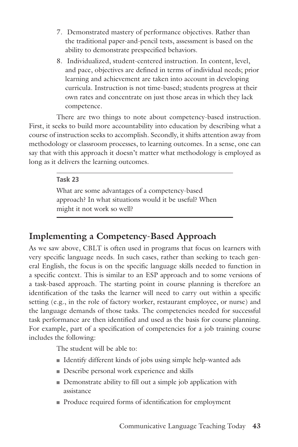- 7. Demonstrated mastery of performance objectives. Rather than the traditional paper-and-pencil tests, assessment is based on the ability to demonstrate prespecified behaviors.
- 8. Individualized, student-centered instruction. In content, level, and pace, objectives are defined in terms of individual needs; prior learning and achievement are taken into account in developing curricula. Instruction is not time-based; students progress at their own rates and concentrate on just those areas in which they lack competence.

There are two things to note about competency-based instruction. First, it seeks to build more accountability into education by describing what a course of instruction seeks to accomplish. Secondly, it shifts attention away from methodology or classroom processes, to learning outcomes. In a sense, one can say that with this approach it doesn't matter what methodology is employed as long as it delivers the learning outcomes.

#### Task 23

What are some advantages of a competency-based approach? In what situations would it be useful? When might it not work so well?

### **Implementing a Competency-Based Approach**

As we saw above, CBLT is often used in programs that focus on learners with very specific language needs. In such cases, rather than seeking to teach general English, the focus is on the specific language skills needed to function in a specific context. This is similar to an ESP approach and to some versions of a task-based approach. The starting point in course planning is therefore an identification of the tasks the learner will need to carry out within a specific setting (e.g., in the role of factory worker, restaurant employee, or nurse) and the language demands of those tasks. The competencies needed for successful task performance are then identified and used as the basis for course planning. For example, part of a specification of competencies for a job training course includes the following:

The student will be able to:

- I Identify different kinds of jobs using simple help-wanted ads
- $\blacksquare$  Describe personal work experience and skills
- Demonstrate ability to fill out a simple job application with assistance
- $\blacksquare$  Produce required forms of identification for employment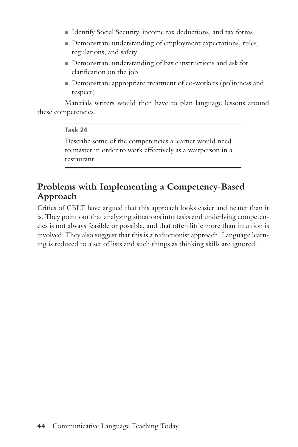- I Identify Social Security, income tax deductions, and tax forms
- Demonstrate understanding of employment expectations, rules, regulations, and safety
- Demonstrate understanding of basic instructions and ask for clarification on the job
- Demonstrate appropriate treatment of co-workers (politeness and respect)

Materials writers would then have to plan language lessons around these competencies.

#### Task 24

Describe some of the competencies a learner would need to master in order to work effectively as a waitperson in a restaurant.

#### **Problems with Implementing a Competency-Based Approach**

Critics of CBLT have argued that this approach looks easier and neater than it is. They point out that analyzing situations into tasks and underlying competencies is not always feasible or possible, and that often little more than intuition is involved. They also suggest that this is a reductionist approach. Language learning is reduced to a set of lists and such things as thinking skills are ignored.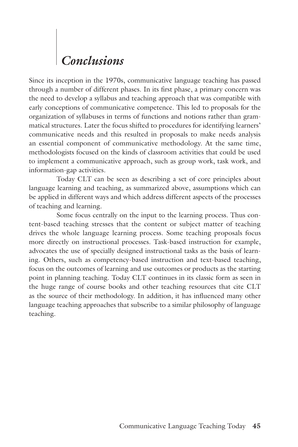# *Conclusions*

Since its inception in the 1970s, communicative language teaching has passed through a number of different phases. In its first phase, a primary concern was the need to develop a syllabus and teaching approach that was compatible with early conceptions of communicative competence. This led to proposals for the organization of syllabuses in terms of functions and notions rather than grammatical structures. Later the focus shifted to procedures for identifying learners' communicative needs and this resulted in proposals to make needs analysis an essential component of communicative methodology. At the same time, methodologists focused on the kinds of classroom activities that could be used to implement a communicative approach, such as group work, task work, and information-gap activities.

Today CLT can be seen as describing a set of core principles about language learning and teaching, as summarized above, assumptions which can be applied in different ways and which address different aspects of the processes of teaching and learning.

Some focus centrally on the input to the learning process. Thus content-based teaching stresses that the content or subject matter of teaching drives the whole language learning process. Some teaching proposals focus more directly on instructional processes. Task-based instruction for example, advocates the use of specially designed instructional tasks as the basis of learning. Others, such as competency-based instruction and text-based teaching, focus on the outcomes of learning and use outcomes or products as the starting point in planning teaching. Today CLT continues in its classic form as seen in the huge range of course books and other teaching resources that cite CLT as the source of their methodology. In addition, it has influenced many other language teaching approaches that subscribe to a similar philosophy of language teaching.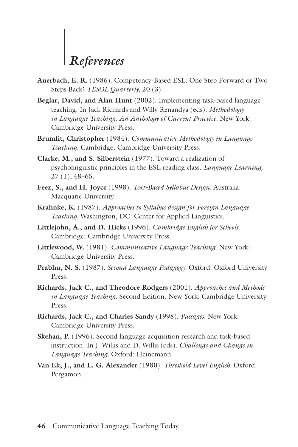# *References*

- **Auerbach, E. R.** (1986). Competency-Based ESL: One Step Forward or Two Steps Back? *TESOL Quarterly,* 20 (3).
- **Beglar, David, and Alan Hunt** (2002). Implementing task-based language teaching. In Jack Richards and Willy Renandya (eds). *Methodology in Language Teaching: An Anthology of Current Practice.* New York: Cambridge University Press.
- **Brumfit, Christopher** (1984). *Communicative Methodology in Language Teaching.* Cambridge: Cambridge University Press.
- **Clarke, M., and S. Silberstein** (1977). Toward a realization of psycholinguistic principles in the ESL reading class. *Language Learning,* 27 (1), 48–65.
- **Feez, S., and H. Joyce** (1998). *Text-Based Syllabus Design.* Australia: Macquarie University
- **Krahnke, K.** (1987). *Approaches to Syllabus design for Foreign Language Teaching.* Washington, DC: Center for Applied Linguistics.
- **Littlejohn, A., and D. Hicks** (1996). *Cambridge English for Schools.* Cambridge: Cambridge University Press.
- **Littlewood, W.** (1981). *Communicative Language Teaching.* New York: Cambridge University Press.
- **Prabhu, N. S.** (1987). *Second Language Pedagogy.* Oxford: Oxford University Press.
- **Richards, Jack C., and Theodore Rodgers** (2001). *Approaches and Methods in Language Teaching.* Second Edition. New York: Cambridge University Press.
- **Richards, Jack C., and Charles Sandy** (1998). *Passages.* New York: Cambridge University Press.
- **Skehan, P.** (1996). Second language acquisition research and task-based instruction. In J. Willis and D. Willis (eds). *Challenge and Change in Language Teaching.* Oxford: Heinemann.
- **Van Ek, J., and L. G. Alexander** (1980). *Threshold Level English.* Oxford: Pergamon.